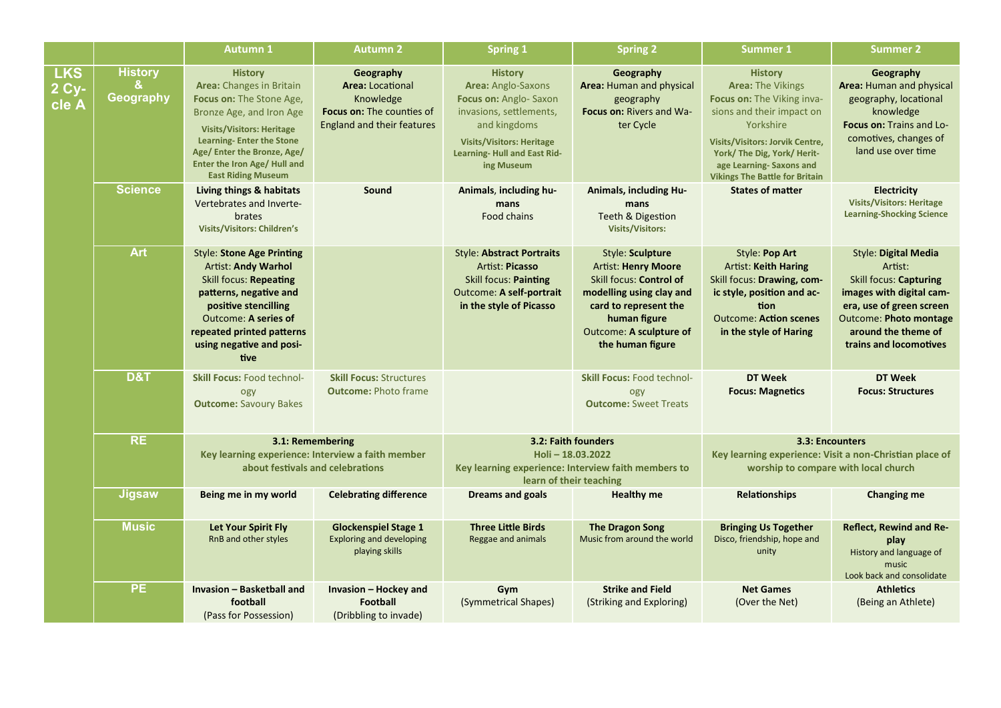|                              |                                  | <b>Autumn 1</b>                                                                                                                                                                                                                                                       | <b>Autumn 2</b>                                                                                                            | <b>Spring 1</b>                                                                                                                                                                                  | <b>Spring 2</b>                                                                                                                                                                               | <b>Summer 1</b>                                                                                                                                                                                                                                                 | <b>Summer 2</b>                                                                                                                                                                                            |
|------------------------------|----------------------------------|-----------------------------------------------------------------------------------------------------------------------------------------------------------------------------------------------------------------------------------------------------------------------|----------------------------------------------------------------------------------------------------------------------------|--------------------------------------------------------------------------------------------------------------------------------------------------------------------------------------------------|-----------------------------------------------------------------------------------------------------------------------------------------------------------------------------------------------|-----------------------------------------------------------------------------------------------------------------------------------------------------------------------------------------------------------------------------------------------------------------|------------------------------------------------------------------------------------------------------------------------------------------------------------------------------------------------------------|
| <b>LKS</b><br>2 Cy-<br>cle A | <b>History</b><br>&<br>Geography | <b>History</b><br>Area: Changes in Britain<br>Focus on: The Stone Age,<br>Bronze Age, and Iron Age<br><b>Visits/Visitors: Heritage</b><br><b>Learning-Enter the Stone</b><br>Age/ Enter the Bronze, Age/<br>Enter the Iron Age/ Hull and<br><b>East Riding Museum</b> | Geography<br><b>Area: Locational</b><br>Knowledge<br><b>Focus on: The counties of</b><br><b>England and their features</b> | <b>History</b><br>Area: Anglo-Saxons<br>Focus on: Anglo-Saxon<br>invasions, settlements,<br>and kingdoms<br><b>Visits/Visitors: Heritage</b><br><b>Learning-Hull and East Rid-</b><br>ing Museum | Geography<br>Area: Human and physical<br>geography<br>Focus on: Rivers and Wa-<br>ter Cycle                                                                                                   | <b>History</b><br><b>Area: The Vikings</b><br>Focus on: The Viking inva-<br>sions and their impact on<br>Yorkshire<br><b>Visits/Visitors: Jorvik Centre,</b><br>York/ The Dig, York/ Herit-<br>age Learning-Saxons and<br><b>Vikings The Battle for Britain</b> | Geography<br>Area: Human and physical<br>geography, locational<br>knowledge<br>Focus on: Trains and Lo-<br>comotives, changes of<br>land use over time                                                     |
|                              | <b>Science</b>                   | Living things & habitats<br>Vertebrates and Inverte-<br>brates<br><b>Visits/Visitors: Children's</b>                                                                                                                                                                  | Sound                                                                                                                      | Animals, including hu-<br>mans<br>Food chains                                                                                                                                                    | <b>Animals, including Hu-</b><br>mans<br>Teeth & Digestion<br><b>Visits/Visitors:</b>                                                                                                         | <b>States of matter</b>                                                                                                                                                                                                                                         | <b>Electricity</b><br><b>Visits/Visitors: Heritage</b><br><b>Learning-Shocking Science</b>                                                                                                                 |
|                              | <b>Art</b>                       | <b>Style: Stone Age Printing</b><br><b>Artist: Andy Warhol</b><br>Skill focus: Repeating<br>patterns, negative and<br>positive stencilling<br>Outcome: A series of<br>repeated printed patterns<br>using negative and posi-<br><b>tive</b>                            |                                                                                                                            | <b>Style: Abstract Portraits</b><br>Artist: Picasso<br><b>Skill focus: Painting</b><br><b>Outcome: A self-portrait</b><br>in the style of Picasso                                                | Style: Sculpture<br><b>Artist: Henry Moore</b><br>Skill focus: Control of<br>modelling using clay and<br>card to represent the<br>human figure<br>Outcome: A sculpture of<br>the human figure | Style: Pop Art<br><b>Artist: Keith Haring</b><br>Skill focus: Drawing, com-<br>ic style, position and ac-<br>tion<br><b>Outcome: Action scenes</b><br>in the style of Haring                                                                                    | <b>Style: Digital Media</b><br>Artist:<br>Skill focus: Capturing<br>images with digital cam-<br>era, use of green screen<br><b>Outcome: Photo montage</b><br>around the theme of<br>trains and locomotives |
|                              | <b>D&amp;T</b>                   | <b>Skill Focus: Food technol-</b><br>ogy<br><b>Outcome: Savoury Bakes</b>                                                                                                                                                                                             | <b>Skill Focus: Structures</b><br><b>Outcome: Photo frame</b>                                                              |                                                                                                                                                                                                  | <b>Skill Focus: Food technol-</b><br>ogy<br><b>Outcome: Sweet Treats</b>                                                                                                                      | <b>DT Week</b><br><b>Focus: Magnetics</b>                                                                                                                                                                                                                       | DT Week<br><b>Focus: Structures</b>                                                                                                                                                                        |
|                              | <b>RE</b>                        | 3.1: Remembering<br>Key learning experience: Interview a faith member<br>about festivals and celebrations                                                                                                                                                             |                                                                                                                            | 3.2: Faith founders<br>Holi-18.03.2022<br>Key learning experience: Interview faith members to<br>learn of their teaching                                                                         |                                                                                                                                                                                               | 3.3: Encounters<br>Key learning experience: Visit a non-Christian place of<br>worship to compare with local church                                                                                                                                              |                                                                                                                                                                                                            |
|                              | <b>Jigsaw</b>                    | Being me in my world                                                                                                                                                                                                                                                  | <b>Celebrating difference</b>                                                                                              | <b>Dreams and goals</b>                                                                                                                                                                          | <b>Healthy me</b>                                                                                                                                                                             | <b>Relationships</b>                                                                                                                                                                                                                                            | <b>Changing me</b>                                                                                                                                                                                         |
|                              | <b>Music</b>                     | <b>Let Your Spirit Fly</b><br>RnB and other styles                                                                                                                                                                                                                    | <b>Glockenspiel Stage 1</b><br><b>Exploring and developing</b><br>playing skills                                           | <b>Three Little Birds</b><br>Reggae and animals                                                                                                                                                  | <b>The Dragon Song</b><br>Music from around the world                                                                                                                                         | <b>Bringing Us Together</b><br>Disco, friendship, hope and<br>unity                                                                                                                                                                                             | <b>Reflect, Rewind and Re-</b><br>play<br>History and language of<br>music<br>Look back and consolidate                                                                                                    |
|                              | <b>PE</b>                        | Invasion - Basketball and<br>football<br>(Pass for Possession)                                                                                                                                                                                                        | Invasion - Hockey and<br><b>Football</b><br>(Dribbling to invade)                                                          | Gym<br>(Symmetrical Shapes)                                                                                                                                                                      | <b>Strike and Field</b><br>(Striking and Exploring)                                                                                                                                           | <b>Net Games</b><br>(Over the Net)                                                                                                                                                                                                                              | <b>Athletics</b><br>(Being an Athlete)                                                                                                                                                                     |